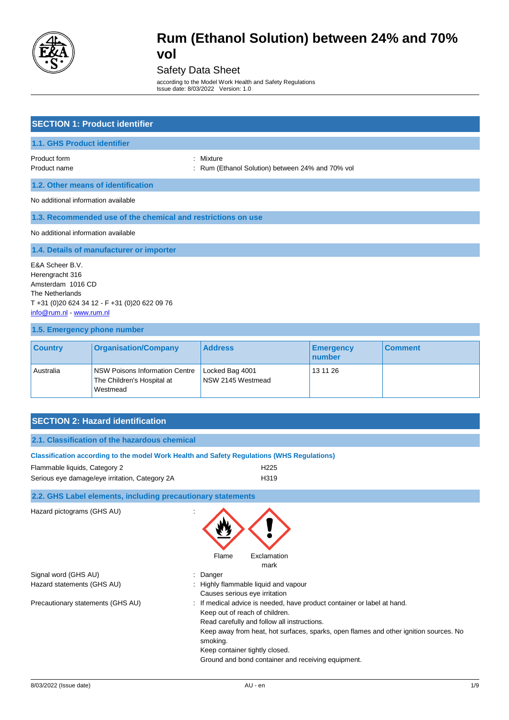

#### Safety Data Sheet

according to the Model Work Health and Safety Regulations Issue date: 8/03/2022 Version: 1.0

| <b>SECTION 1: Product identifier</b>                                                                                                                    |                                                                                            |                                                           |                            |                |
|---------------------------------------------------------------------------------------------------------------------------------------------------------|--------------------------------------------------------------------------------------------|-----------------------------------------------------------|----------------------------|----------------|
| 1.1. GHS Product identifier                                                                                                                             |                                                                                            |                                                           |                            |                |
| Product form<br>Product name                                                                                                                            | $\ddot{\phantom{a}}$<br>÷                                                                  | Mixture<br>Rum (Ethanol Solution) between 24% and 70% vol |                            |                |
|                                                                                                                                                         | 1.2. Other means of identification                                                         |                                                           |                            |                |
| No additional information available                                                                                                                     |                                                                                            |                                                           |                            |                |
|                                                                                                                                                         | 1.3. Recommended use of the chemical and restrictions on use                               |                                                           |                            |                |
| No additional information available                                                                                                                     |                                                                                            |                                                           |                            |                |
|                                                                                                                                                         | 1.4. Details of manufacturer or importer                                                   |                                                           |                            |                |
| E&A Scheer B.V.<br>Herengracht 316<br>Amsterdam 1016 CD<br>The Netherlands<br>T +31 (0) 20 624 34 12 - F +31 (0) 20 622 09 76<br>info@rum.nl www.rum.nl |                                                                                            |                                                           |                            |                |
| 1.5. Emergency phone number                                                                                                                             |                                                                                            |                                                           |                            |                |
| <b>Country</b>                                                                                                                                          | <b>Organisation/Company</b>                                                                | <b>Address</b>                                            | <b>Emergency</b><br>number | <b>Comment</b> |
| Australia                                                                                                                                               | <b>NSW Poisons Information Centre</b><br>The Children's Hospital at<br>Westmead            | Locked Bag 4001<br>NSW 2145 Westmead                      | 13 11 26                   |                |
|                                                                                                                                                         |                                                                                            |                                                           |                            |                |
|                                                                                                                                                         | <b>SECTION 2: Hazard identification</b>                                                    |                                                           |                            |                |
|                                                                                                                                                         | 2.1. Classification of the hazardous chemical                                              |                                                           |                            |                |
|                                                                                                                                                         | Classification according to the model Work Health and Safety Regulations (WHS Regulations) |                                                           |                            |                |
| Flammable liquids, Category 2                                                                                                                           |                                                                                            | H <sub>225</sub>                                          |                            |                |
|                                                                                                                                                         | Serious eye damage/eye irritation, Category 2A                                             | H <sub>319</sub>                                          |                            |                |
| 2.2. GHS Label elements, including precautionary statements                                                                                             |                                                                                            |                                                           |                            |                |
| Hazard pictograms (GHS AU)                                                                                                                              |                                                                                            | Flame<br>Exclamation<br>mark                              |                            |                |
| Signal word (GHS AU)<br>Hazard statements (GHS AU)                                                                                                      |                                                                                            | Danger<br>Highly flammable liquid and vapour              |                            |                |

Ground and bond container and receiving equipment.

Causes serious eye irritation Precautionary statements (GHS AU) : If medical advice is needed, have product container or label at hand. Keep out of reach of children. Read carefully and follow all instructions. Keep away from heat, hot surfaces, sparks, open flames and other ignition sources. No smoking.

Keep container tightly closed.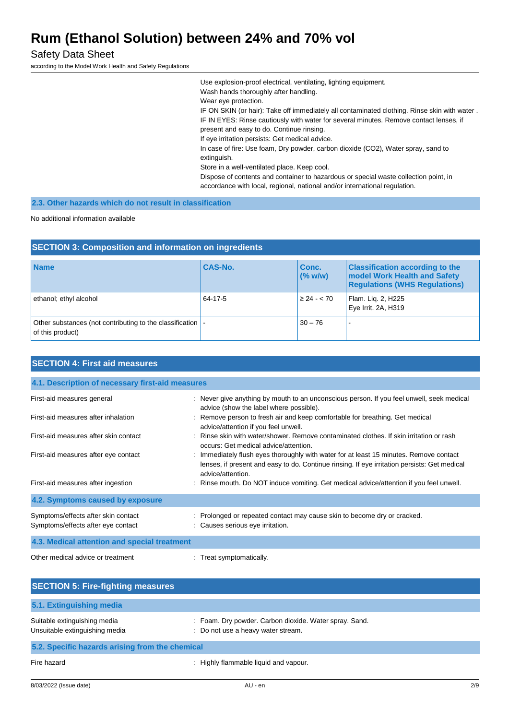Safety Data Sheet

according to the Model Work Health and Safety Regulations

Use explosion-proof electrical, ventilating, lighting equipment. Wash hands thoroughly after handling. Wear eye protection. IF ON SKIN (or hair): Take off immediately all contaminated clothing. Rinse skin with water . IF IN EYES: Rinse cautiously with water for several minutes. Remove contact lenses, if present and easy to do. Continue rinsing. If eye irritation persists: Get medical advice. In case of fire: Use foam, Dry powder, carbon dioxide (CO2), Water spray, sand to extinguish. Store in a well-ventilated place. Keep cool. Dispose of contents and container to hazardous or special waste collection point, in accordance with local, regional, national and/or international regulation.

**2.3. Other hazards which do not result in classification**

No additional information available

| <b>SECTION 3: Composition and information on ingredients</b>                   |                |                         |                                                                                                                |
|--------------------------------------------------------------------------------|----------------|-------------------------|----------------------------------------------------------------------------------------------------------------|
| <b>Name</b>                                                                    | <b>CAS-No.</b> | <b>Conc.</b><br>(% w/w) | <b>Classification according to the</b><br>model Work Health and Safety<br><b>Regulations (WHS Regulations)</b> |
| ethanol; ethyl alcohol                                                         | 64-17-5        | $\geq 24 - 570$         | Flam. Lig. 2, H225<br>Eye Irrit. 2A, H319                                                                      |
| Other substances (not contributing to the classification  <br>of this product) |                | $30 - 76$               |                                                                                                                |

| <b>SECTION 4: First aid measures</b>                                      |                                                                                                                                                                                                             |
|---------------------------------------------------------------------------|-------------------------------------------------------------------------------------------------------------------------------------------------------------------------------------------------------------|
| 4.1. Description of necessary first-aid measures                          |                                                                                                                                                                                                             |
| First-aid measures general                                                | : Never give anything by mouth to an unconscious person. If you feel unwell, seek medical<br>advice (show the label where possible).                                                                        |
| First-aid measures after inhalation                                       | : Remove person to fresh air and keep comfortable for breathing. Get medical<br>advice/attention if you feel unwell.                                                                                        |
| First-aid measures after skin contact                                     | : Rinse skin with water/shower. Remove contaminated clothes. If skin irritation or rash<br>occurs: Get medical advice/attention.                                                                            |
| First-aid measures after eye contact                                      | : Immediately flush eyes thoroughly with water for at least 15 minutes. Remove contact<br>lenses, if present and easy to do. Continue rinsing. If eye irritation persists: Get medical<br>advice/attention. |
| First-aid measures after ingestion                                        | : Rinse mouth. Do NOT induce vomiting. Get medical advice/attention if you feel unwell.                                                                                                                     |
| 4.2. Symptoms caused by exposure                                          |                                                                                                                                                                                                             |
| Symptoms/effects after skin contact<br>Symptoms/effects after eye contact | : Prolonged or repeated contact may cause skin to become dry or cracked.<br>: Causes serious eye irritation.                                                                                                |
| 4.3. Medical attention and special treatment                              |                                                                                                                                                                                                             |
| Other medical advice or treatment                                         | : Treat symptomatically.                                                                                                                                                                                    |

| <b>SECTION 5: Fire-fighting measures</b>                       |                                                                                              |  |
|----------------------------------------------------------------|----------------------------------------------------------------------------------------------|--|
| 5.1. Extinguishing media                                       |                                                                                              |  |
| Suitable extinguishing media<br>Unsuitable extinguishing media | : Foam. Dry powder. Carbon dioxide. Water spray. Sand.<br>: Do not use a heavy water stream. |  |
| 5.2. Specific hazards arising from the chemical                |                                                                                              |  |
| Fire hazard                                                    | Highly flammable liquid and vapour.                                                          |  |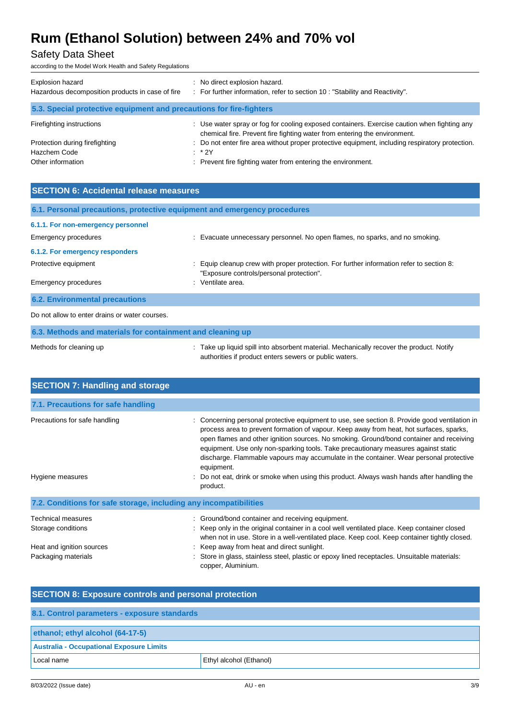### Safety Data Sheet

according to the Model Work Health and Safety Regulations

| Explosion hazard<br>Hazardous decomposition products in case of fire | No direct explosion hazard.<br>: For further information, refer to section 10 : "Stability and Reactivity".                                                              |  |  |
|----------------------------------------------------------------------|--------------------------------------------------------------------------------------------------------------------------------------------------------------------------|--|--|
| 5.3. Special protective equipment and precautions for fire-fighters  |                                                                                                                                                                          |  |  |
| Firefighting instructions                                            | : Use water spray or fog for cooling exposed containers. Exercise caution when fighting any<br>chemical fire. Prevent fire fighting water from entering the environment. |  |  |
| Protection during firefighting                                       | : Do not enter fire area without proper protective equipment, including respiratory protection.                                                                          |  |  |
| Hazchem Code                                                         | $:$ * 2Y                                                                                                                                                                 |  |  |
| Other information                                                    | Prevent fire fighting water from entering the environment.                                                                                                               |  |  |

| <b>SECTION 6: Accidental release measures</b>                            |                                                                                                                                      |  |  |
|--------------------------------------------------------------------------|--------------------------------------------------------------------------------------------------------------------------------------|--|--|
| 6.1. Personal precautions, protective equipment and emergency procedures |                                                                                                                                      |  |  |
| 6.1.1. For non-emergency personnel                                       |                                                                                                                                      |  |  |
| Emergency procedures                                                     | : Evacuate unnecessary personnel. No open flames, no sparks, and no smoking.                                                         |  |  |
| 6.1.2. For emergency responders                                          |                                                                                                                                      |  |  |
| Protective equipment                                                     | : Equip cleanup crew with proper protection. For further information refer to section 8:<br>"Exposure controls/personal protection". |  |  |
| Emergency procedures                                                     | : Ventilate area.                                                                                                                    |  |  |
| <b>6.2. Environmental precautions</b>                                    |                                                                                                                                      |  |  |
| Do not allow to enter drains or water courses.                           |                                                                                                                                      |  |  |

| 6.3. Methods and materials for containment and cleaning up |                                                                                        |  |  |
|------------------------------------------------------------|----------------------------------------------------------------------------------------|--|--|
| Methods for cleaning up                                    | Take up liquid spill into absorbent material. Mechanically recover the product. Notify |  |  |
|                                                            | authorities if product enters sewers or public waters.                                 |  |  |

| <b>SECTION 7: Handling and storage</b>                            |                                                                                                                                                                                                                                                                                                                                                                                                                                                                                                                                                                               |
|-------------------------------------------------------------------|-------------------------------------------------------------------------------------------------------------------------------------------------------------------------------------------------------------------------------------------------------------------------------------------------------------------------------------------------------------------------------------------------------------------------------------------------------------------------------------------------------------------------------------------------------------------------------|
|                                                                   |                                                                                                                                                                                                                                                                                                                                                                                                                                                                                                                                                                               |
| 7.1. Precautions for safe handling                                |                                                                                                                                                                                                                                                                                                                                                                                                                                                                                                                                                                               |
| Precautions for safe handling<br>Hygiene measures                 | Concerning personal protective equipment to use, see section 8. Provide good ventilation in<br>process area to prevent formation of vapour. Keep away from heat, hot surfaces, sparks,<br>open flames and other ignition sources. No smoking. Ground/bond container and receiving<br>equipment. Use only non-sparking tools. Take precautionary measures against static<br>discharge. Flammable vapours may accumulate in the container. Wear personal protective<br>equipment.<br>: Do not eat, drink or smoke when using this product. Always wash hands after handling the |
|                                                                   | product.                                                                                                                                                                                                                                                                                                                                                                                                                                                                                                                                                                      |
| 7.2. Conditions for safe storage, including any incompatibilities |                                                                                                                                                                                                                                                                                                                                                                                                                                                                                                                                                                               |
| Technical measures                                                | : Ground/bond container and receiving equipment.                                                                                                                                                                                                                                                                                                                                                                                                                                                                                                                              |
| Storage conditions                                                | : Keep only in the original container in a cool well ventilated place. Keep container closed<br>when not in use. Store in a well-ventilated place. Keep cool. Keep container tightly closed.                                                                                                                                                                                                                                                                                                                                                                                  |
| Heat and ignition sources                                         | : Keep away from heat and direct sunlight.                                                                                                                                                                                                                                                                                                                                                                                                                                                                                                                                    |
| Packaging materials                                               | Store in glass, stainless steel, plastic or epoxy lined receptacles. Unsuitable materials:<br>copper, Aluminium.                                                                                                                                                                                                                                                                                                                                                                                                                                                              |

| <b>SECTION 8: Exposure controls and personal protection</b> |                         |  |  |
|-------------------------------------------------------------|-------------------------|--|--|
| 8.1. Control parameters - exposure standards                |                         |  |  |
| ethanol; ethyl alcohol (64-17-5)                            |                         |  |  |
| <b>Australia - Occupational Exposure Limits</b>             |                         |  |  |
| Local name                                                  | Ethyl alcohol (Ethanol) |  |  |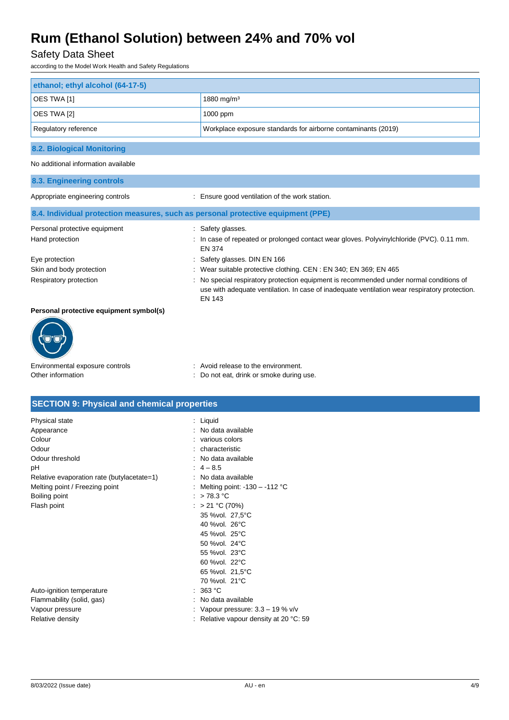### Safety Data Sheet

according to the Model Work Health and Safety Regulations

| ethanol; ethyl alcohol (64-17-5)                                                 |                                                                                                                                                                                                                                                                                                                          |
|----------------------------------------------------------------------------------|--------------------------------------------------------------------------------------------------------------------------------------------------------------------------------------------------------------------------------------------------------------------------------------------------------------------------|
| OES TWA [1]                                                                      | 1880 mg/m <sup>3</sup>                                                                                                                                                                                                                                                                                                   |
| OES TWA [2]                                                                      | 1000 ppm                                                                                                                                                                                                                                                                                                                 |
| Regulatory reference                                                             | Workplace exposure standards for airborne contaminants (2019)                                                                                                                                                                                                                                                            |
| <b>8.2. Biological Monitoring</b>                                                |                                                                                                                                                                                                                                                                                                                          |
| No additional information available                                              |                                                                                                                                                                                                                                                                                                                          |
| 8.3. Engineering controls                                                        |                                                                                                                                                                                                                                                                                                                          |
| Appropriate engineering controls                                                 | : Ensure good ventilation of the work station.                                                                                                                                                                                                                                                                           |
| 8.4. Individual protection measures, such as personal protective equipment (PPE) |                                                                                                                                                                                                                                                                                                                          |
| Personal protective equipment<br>Hand protection                                 | : Safety glasses.<br>: In case of repeated or prolonged contact wear gloves. Polyvinylchloride (PVC). 0.11 mm.                                                                                                                                                                                                           |
| Eye protection<br>Skin and body protection<br>Respiratory protection             | <b>EN 374</b><br>Safety glasses. DIN EN 166<br>Wear suitable protective clothing. CEN: EN 340; EN 369; EN 465<br>No special respiratory protection equipment is recommended under normal conditions of<br>use with adequate ventilation. In case of inadequate ventilation wear respiratory protection.<br><b>EN 143</b> |
| Personal protective equipment symbol(s)                                          |                                                                                                                                                                                                                                                                                                                          |
|                                                                                  |                                                                                                                                                                                                                                                                                                                          |

# Environmental exposure controls : Avoid release to the environment.

Other information **Other information** : Do not eat, drink or smoke during use.

#### **SECTION 9: Physical and chemical properties**

| Physical state<br>Appearance<br>Colour<br>Odour<br>Odour threshold<br>рH<br>Relative evaporation rate (butylacetate=1)<br>Melting point / Freezing point<br>Boiling point<br>Flash point | : Liquid<br>: No data available<br>: various colors<br>: characteristic<br>: No data available<br>$: 4 - 8.5$<br>: No data available<br>: Melting point: -130 - -112 °C<br>>78.3 °C<br>> 21 °C (70%)<br>35 %vol. 27,5°C<br>40 % vol. 26 °C<br>45 % vol. 25 °C<br>50 % vol. 24 °C |
|------------------------------------------------------------------------------------------------------------------------------------------------------------------------------------------|----------------------------------------------------------------------------------------------------------------------------------------------------------------------------------------------------------------------------------------------------------------------------------|
| Auto-ignition temperature<br>Flammability (solid, gas)<br>Vapour pressure<br>Relative density                                                                                            | 55 % vol. 23 °C<br>60 % vol. 22 °C<br>65 % vol. 21,5°C<br>70 %vol. 21°C<br>: 363 °C<br>No data available<br>Vapour pressure: $3.3 - 19\%$ v/v<br>Relative vapour density at 20 °C: 59                                                                                            |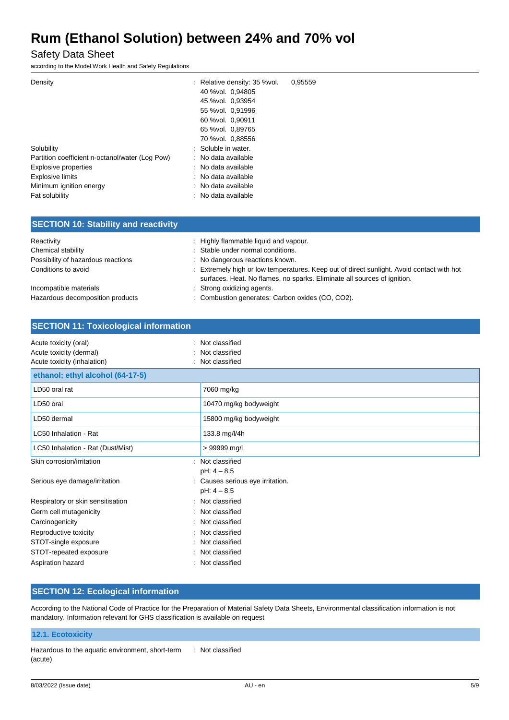Safety Data Sheet

according to the Model Work Health and Safety Regulations

| Density                                         | : Relative density: 35 % vol. | 0.95559 |
|-------------------------------------------------|-------------------------------|---------|
|                                                 |                               |         |
|                                                 | 40 % vol. 0,94805             |         |
|                                                 | 45 % vol. 0,93954             |         |
|                                                 | 55 % vol. 0,91996             |         |
|                                                 | 60 % vol. 0.90911             |         |
|                                                 | 65 %vol. 0,89765              |         |
|                                                 | 70 % vol. 0.88556             |         |
| Solubility                                      | : Soluble in water.           |         |
| Partition coefficient n-octanol/water (Log Pow) | No data available             |         |
| <b>Explosive properties</b>                     | : No data available           |         |
| <b>Explosive limits</b>                         | : No data available           |         |
| Minimum ignition energy                         | : No data available           |         |
| Fat solubility                                  | No data available             |         |
|                                                 |                               |         |

| Reactivity                         | Highly flammable liquid and vapour.                                                                                                                                   |
|------------------------------------|-----------------------------------------------------------------------------------------------------------------------------------------------------------------------|
| Chemical stability                 | : Stable under normal conditions.                                                                                                                                     |
| Possibility of hazardous reactions | : No dangerous reactions known.                                                                                                                                       |
| Conditions to avoid                | : Extremely high or low temperatures. Keep out of direct sunlight. Avoid contact with hot<br>surfaces. Heat. No flames, no sparks. Eliminate all sources of ignition. |
| Incompatible materials             | : Strong oxidizing agents.                                                                                                                                            |
| Hazardous decomposition products   | : Combustion generates: Carbon oxides (CO, CO2).                                                                                                                      |

| <b>SECTION 11: Toxicological information</b>                                    |                                                    |  |
|---------------------------------------------------------------------------------|----------------------------------------------------|--|
| Acute toxicity (oral)<br>Acute toxicity (dermal)<br>Acute toxicity (inhalation) | Not classified<br>Not classified<br>Not classified |  |
| ethanol; ethyl alcohol (64-17-5)                                                |                                                    |  |
| LD50 oral rat                                                                   | 7060 mg/kg                                         |  |
| LD50 oral                                                                       | 10470 mg/kg bodyweight                             |  |
| LD50 dermal                                                                     | 15800 mg/kg bodyweight                             |  |
| LC50 Inhalation - Rat                                                           | 133.8 mg/l/4h                                      |  |
| LC50 Inhalation - Rat (Dust/Mist)                                               | > 99999 mg/l                                       |  |
| Skin corrosion/irritation                                                       | Not classified<br>$pH: 4 - 8.5$                    |  |
| Serious eye damage/irritation                                                   | Causes serious eye irritation.<br>$pH: 4 - 8.5$    |  |
| Respiratory or skin sensitisation                                               | Not classified                                     |  |
| Germ cell mutagenicity                                                          | Not classified                                     |  |
| Carcinogenicity                                                                 | : Not classified                                   |  |
| Reproductive toxicity                                                           | Not classified                                     |  |
| STOT-single exposure                                                            | Not classified                                     |  |
| STOT-repeated exposure                                                          | Not classified                                     |  |
| Aspiration hazard                                                               | Not classified                                     |  |

#### **SECTION 12: Ecological information**

According to the National Code of Practice for the Preparation of Material Safety Data Sheets, Environmental classification information is not mandatory. Information relevant for GHS classification is available on request

#### **12.1. Ecotoxicity**

Hazardous to the aquatic environment, short-term (acute) : Not classified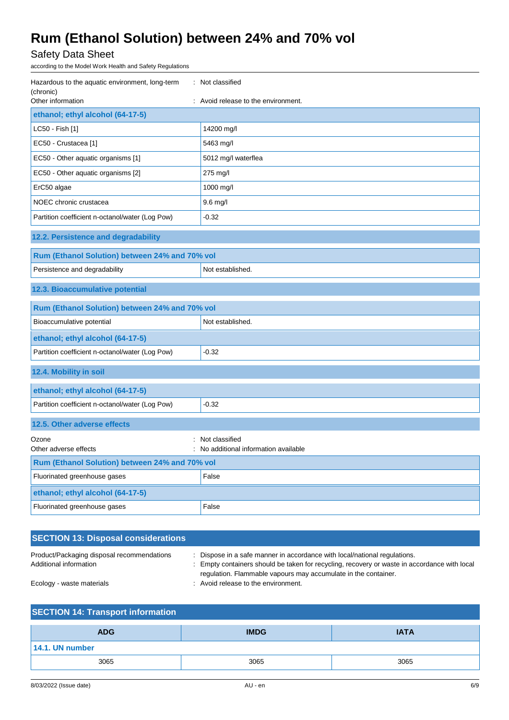Safety Data Sheet

according to the Model Work Health and Safety Regulations

| Hazardous to the aquatic environment, long-term<br>: Not classified<br>(chronic)<br>Other information<br>: Avoid release to the environment. |                     |  |
|----------------------------------------------------------------------------------------------------------------------------------------------|---------------------|--|
| ethanol; ethyl alcohol (64-17-5)                                                                                                             |                     |  |
| LC50 - Fish [1]                                                                                                                              | 14200 mg/l          |  |
| EC50 - Crustacea [1]                                                                                                                         | 5463 mg/l           |  |
| EC50 - Other aquatic organisms [1]                                                                                                           | 5012 mg/l waterflea |  |
| EC50 - Other aquatic organisms [2]                                                                                                           | 275 mg/l            |  |
| ErC50 algae                                                                                                                                  | 1000 mg/l           |  |
| NOEC chronic crustacea                                                                                                                       | $9.6$ mg/l          |  |
| Partition coefficient n-octanol/water (Log Pow)                                                                                              | $-0.32$             |  |
| 12.2. Persistence and degradability                                                                                                          |                     |  |
| Rum (Ethanol Solution) between 24% and 70% vol                                                                                               |                     |  |
| Persistence and degradability                                                                                                                | Not established.    |  |
| 12.3. Bioaccumulative potential                                                                                                              |                     |  |
| Rum (Ethanol Solution) between 24% and 70% vol                                                                                               |                     |  |
| Bioaccumulative potential                                                                                                                    | Not established.    |  |
| ethanol; ethyl alcohol (64-17-5)                                                                                                             |                     |  |
| Partition coefficient n-octanol/water (Log Pow)                                                                                              | $-0.32$             |  |
| 12.4. Mobility in soil                                                                                                                       |                     |  |
| ethanol; ethyl alcohol (64-17-5)                                                                                                             |                     |  |
| Partition coefficient n-octanol/water (Log Pow)                                                                                              | $-0.32$             |  |
| 12.5. Other adverse effects                                                                                                                  |                     |  |
| Ozone                                                                                                                                        | Not classified      |  |
| Other adverse effects<br>: No additional information available                                                                               |                     |  |
| Rum (Ethanol Solution) between 24% and 70% vol                                                                                               |                     |  |
| Fluorinated greenhouse gases                                                                                                                 | False               |  |
| ethanol; ethyl alcohol (64-17-5)                                                                                                             |                     |  |
| Fluorinated greenhouse gases                                                                                                                 | False               |  |

| <b>SECTION 13: Disposal considerations</b>                           |                                                                                                                                                                                                                                           |
|----------------------------------------------------------------------|-------------------------------------------------------------------------------------------------------------------------------------------------------------------------------------------------------------------------------------------|
| Product/Packaging disposal recommendations<br>Additional information | : Dispose in a safe manner in accordance with local/national regulations.<br>Empty containers should be taken for recycling, recovery or waste in accordance with local<br>regulation. Flammable vapours may accumulate in the container. |
| Ecology - waste materials                                            | : Avoid release to the environment.                                                                                                                                                                                                       |

| <b>SECTION 14: Transport information</b> |             |             |
|------------------------------------------|-------------|-------------|
| <b>ADG</b>                               | <b>IMDG</b> | <b>IATA</b> |
| 14.1. UN number                          |             |             |
| 3065                                     | 3065        | 3065        |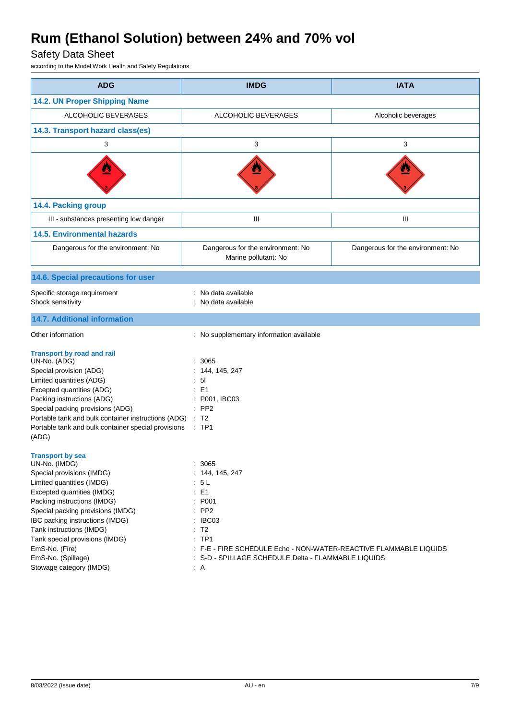### Safety Data Sheet

according to the Model Work Health and Safety Regulations

| <b>ADG</b>                                                                                                                                                                                                                                                                                                                                                               | <b>IMDG</b>                                                                                                                                                                                                                                            | <b>IATA</b>                       |
|--------------------------------------------------------------------------------------------------------------------------------------------------------------------------------------------------------------------------------------------------------------------------------------------------------------------------------------------------------------------------|--------------------------------------------------------------------------------------------------------------------------------------------------------------------------------------------------------------------------------------------------------|-----------------------------------|
| 14.2. UN Proper Shipping Name                                                                                                                                                                                                                                                                                                                                            |                                                                                                                                                                                                                                                        |                                   |
| ALCOHOLIC BEVERAGES                                                                                                                                                                                                                                                                                                                                                      | ALCOHOLIC BEVERAGES                                                                                                                                                                                                                                    | Alcoholic beverages               |
| 14.3. Transport hazard class(es)                                                                                                                                                                                                                                                                                                                                         |                                                                                                                                                                                                                                                        |                                   |
| 3                                                                                                                                                                                                                                                                                                                                                                        | 3                                                                                                                                                                                                                                                      | 3                                 |
|                                                                                                                                                                                                                                                                                                                                                                          |                                                                                                                                                                                                                                                        |                                   |
| 14.4. Packing group                                                                                                                                                                                                                                                                                                                                                      |                                                                                                                                                                                                                                                        |                                   |
| III - substances presenting low danger                                                                                                                                                                                                                                                                                                                                   | Ш                                                                                                                                                                                                                                                      | Ш                                 |
| <b>14.5. Environmental hazards</b>                                                                                                                                                                                                                                                                                                                                       |                                                                                                                                                                                                                                                        |                                   |
| Dangerous for the environment: No                                                                                                                                                                                                                                                                                                                                        | Dangerous for the environment: No<br>Marine pollutant: No                                                                                                                                                                                              | Dangerous for the environment: No |
| 14.6. Special precautions for user                                                                                                                                                                                                                                                                                                                                       |                                                                                                                                                                                                                                                        |                                   |
| Specific storage requirement<br>Shock sensitivity                                                                                                                                                                                                                                                                                                                        | No data available<br>No data available                                                                                                                                                                                                                 |                                   |
| 14.7. Additional information                                                                                                                                                                                                                                                                                                                                             |                                                                                                                                                                                                                                                        |                                   |
| Other information                                                                                                                                                                                                                                                                                                                                                        | : No supplementary information available                                                                                                                                                                                                               |                                   |
| <b>Transport by road and rail</b><br>UN-No. (ADG)<br>Special provision (ADG)<br>Limited quantities (ADG)<br>Excepted quantities (ADG)<br>Packing instructions (ADG)<br>Special packing provisions (ADG)<br>Portable tank and bulk container instructions (ADG) :<br>Portable tank and bulk container special provisions<br>(ADG)                                         | 3065<br>: 144, 145, 247<br>5 <sub>l</sub><br>E1<br>P001, IBC03<br>PP <sub>2</sub><br>T <sub>2</sub><br>$\therefore$ TP1                                                                                                                                |                                   |
| <b>Transport by sea</b><br>UN-No. (IMDG)<br>Special provisions (IMDG)<br>Limited quantities (IMDG)<br>Excepted quantities (IMDG)<br>Packing instructions (IMDG)<br>Special packing provisions (IMDG)<br>IBC packing instructions (IMDG)<br>Tank instructions (IMDG)<br>Tank special provisions (IMDG)<br>EmS-No. (Fire)<br>EmS-No. (Spillage)<br>Stowage category (IMDG) | 3065<br>144, 145, 247<br>5 L<br>E <sub>1</sub><br>P001<br>PP <sub>2</sub><br>IBC03<br>T2<br>÷.<br>TP <sub>1</sub><br>÷.<br>F-E - FIRE SCHEDULE Echo - NON-WATER-REACTIVE FLAMMABLE LIQUIDS<br>S-D - SPILLAGE SCHEDULE Delta - FLAMMABLE LIQUIDS<br>: A |                                   |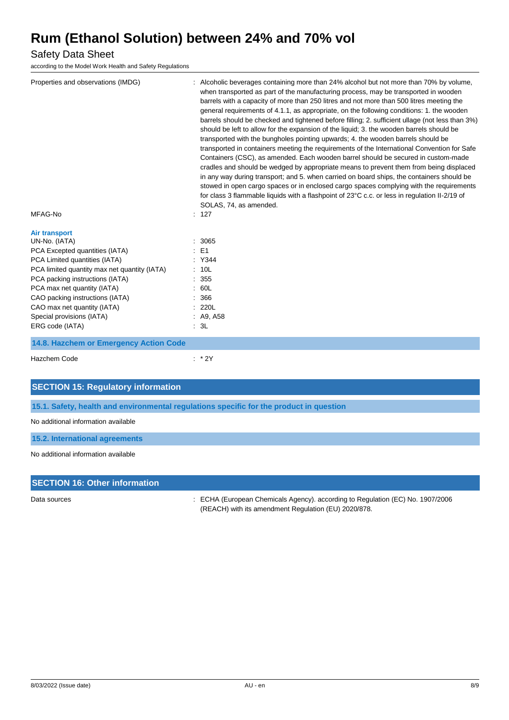#### Safety Data Sheet

according to the Model Work Health and Safety Regulations

| Properties and observations (IMDG)                                                                                                                                                                                                                                                                                                           | : Alcoholic beverages containing more than 24% alcohol but not more than 70% by volume,<br>when transported as part of the manufacturing process, may be transported in wooden<br>barrels with a capacity of more than 250 litres and not more than 500 litres meeting the<br>general requirements of 4.1.1, as appropriate, on the following conditions: 1. the wooden<br>barrels should be checked and tightened before filling; 2. sufficient ullage (not less than 3%)<br>should be left to allow for the expansion of the liquid; 3. the wooden barrels should be<br>transported with the bungholes pointing upwards; 4, the wooden barrels should be<br>transported in containers meeting the requirements of the International Convention for Safe<br>Containers (CSC), as amended. Each wooden barrel should be secured in custom-made<br>cradles and should be wedged by appropriate means to prevent them from being displaced<br>in any way during transport; and 5. when carried on board ships, the containers should be<br>stowed in open cargo spaces or in enclosed cargo spaces complying with the requirements<br>for class 3 flammable liquids with a flashpoint of 23°C c.c. or less in regulation II-2/19 of<br>SOLAS, 74, as amended. |
|----------------------------------------------------------------------------------------------------------------------------------------------------------------------------------------------------------------------------------------------------------------------------------------------------------------------------------------------|-------------------------------------------------------------------------------------------------------------------------------------------------------------------------------------------------------------------------------------------------------------------------------------------------------------------------------------------------------------------------------------------------------------------------------------------------------------------------------------------------------------------------------------------------------------------------------------------------------------------------------------------------------------------------------------------------------------------------------------------------------------------------------------------------------------------------------------------------------------------------------------------------------------------------------------------------------------------------------------------------------------------------------------------------------------------------------------------------------------------------------------------------------------------------------------------------------------------------------------------------------------|
| MFAG-No                                                                                                                                                                                                                                                                                                                                      | : 127                                                                                                                                                                                                                                                                                                                                                                                                                                                                                                                                                                                                                                                                                                                                                                                                                                                                                                                                                                                                                                                                                                                                                                                                                                                       |
| <b>Air transport</b><br>UN-No. (IATA)<br>PCA Excepted quantities (IATA)<br>PCA Limited quantities (IATA)<br>PCA limited quantity max net quantity (IATA)<br>PCA packing instructions (IATA)<br>PCA max net quantity (IATA)<br>CAO packing instructions (IATA)<br>CAO max net quantity (IATA)<br>Special provisions (IATA)<br>ERG code (IATA) | : 3065<br>$E = 1$<br>: Y344<br>: 10L<br>: 355<br>: 60L<br>: 366<br>: 220L<br>: A9, A58<br>: 3L                                                                                                                                                                                                                                                                                                                                                                                                                                                                                                                                                                                                                                                                                                                                                                                                                                                                                                                                                                                                                                                                                                                                                              |
| 14.8. Hazchem or Emergency Action Code                                                                                                                                                                                                                                                                                                       |                                                                                                                                                                                                                                                                                                                                                                                                                                                                                                                                                                                                                                                                                                                                                                                                                                                                                                                                                                                                                                                                                                                                                                                                                                                             |
| Hazchem Code                                                                                                                                                                                                                                                                                                                                 | $:$ * 2Y                                                                                                                                                                                                                                                                                                                                                                                                                                                                                                                                                                                                                                                                                                                                                                                                                                                                                                                                                                                                                                                                                                                                                                                                                                                    |

#### **SECTION 15: Regulatory information**

**15.1. Safety, health and environmental regulations specific for the product in question**

No additional information available

**15.2. International agreements**

No additional information available

#### **SECTION 16: Other information**

Data sources **State 1908** CHA (European Chemicals Agency). according to Regulation (EC) No. 1907/2006 (REACH) with its amendment Regulation (EU) 2020/878.